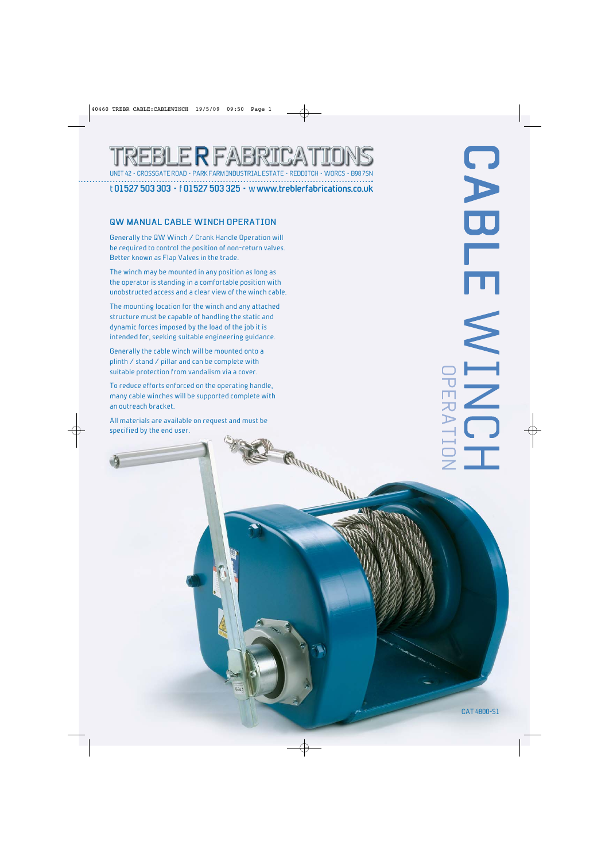# BLE R FABRI **CROSSGATE ROAD • PARK FARM INDUSTRIAL EST**

t **01527 503 303** • f **01527 503 325** • w **www.treblerfabrications.co.uk**

Free

MARIARA MARIA

#### **QW MANUAL CABLE WINCH OPERATION**

Generally the QW Winch / Crank Handle Operation will be required to control the position of non-return valves. Better known as Flap Valves in the trade.

The winch may be mounted in any position as long as the operator is standing in a comfortable position with unobstructed access and a clear view of the winch cable.

The mounting location for the winch and any attached structure must be capable of handling the static and dynamic forces imposed by the load of the job it is intended for, seeking suitable engineering guidance.

Generally the cable winch will be mounted onto a plinth / stand / pillar and can be complete with suitable protection from vandalism via a cover.

To reduce efforts enforced on the operating handle, many cable winches will be supported complete with an outreach bracket.

All materials are available on request and must be specified by the end user.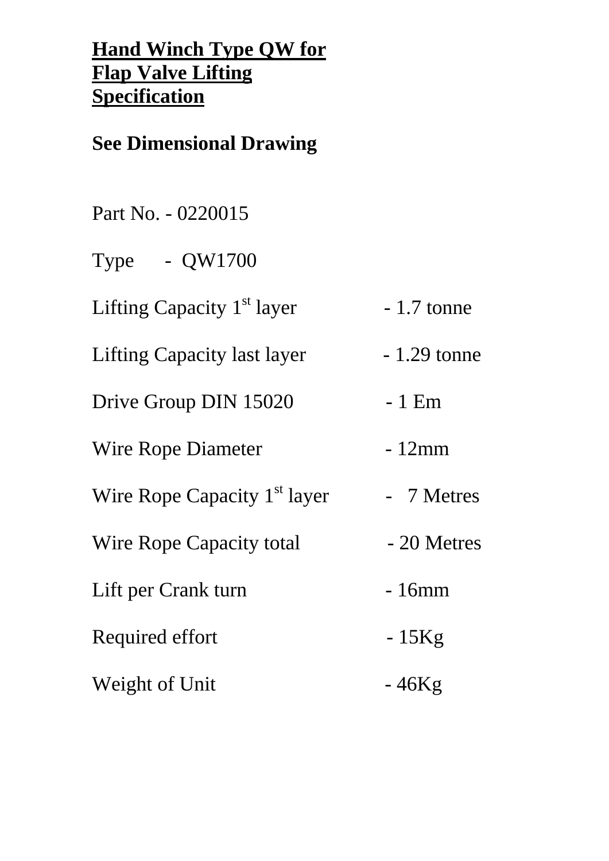# **Hand Winch Type QW for Flap Valve Lifting Specification**

## **See Dimensional Drawing**

Part No. - 0220015

Type - QW1700

Lifting Capacity  $1<sup>st</sup>$  layer  $-1.7$  tonne

Lifting Capacity last layer - 1.29 tonne

Drive Group DIN 15020 - 1 Em

Wire Rope Diameter - 12mm

Wire Rope Capacity  $1<sup>st</sup>$  layer  $-7$  Metres

Wire Rope Capacity total - 20 Metres Lift per Crank turn - 16mm

Required effort - 15Kg

Weight of Unit - 46Kg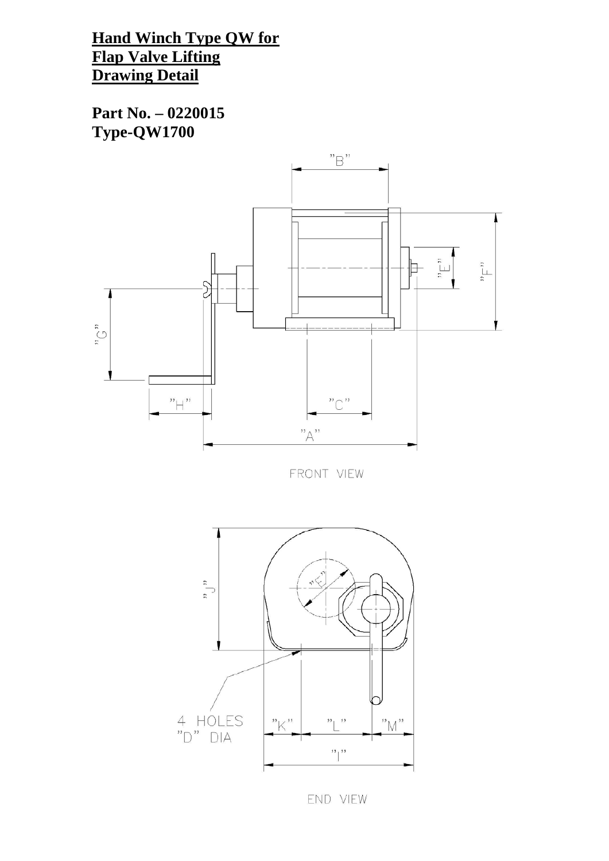**Hand Winch Type QW for Flap Valve Lifting Drawing Detail**

**Part No. – 0220015 Type-QW1700**



FRONT VIEW



END VIEW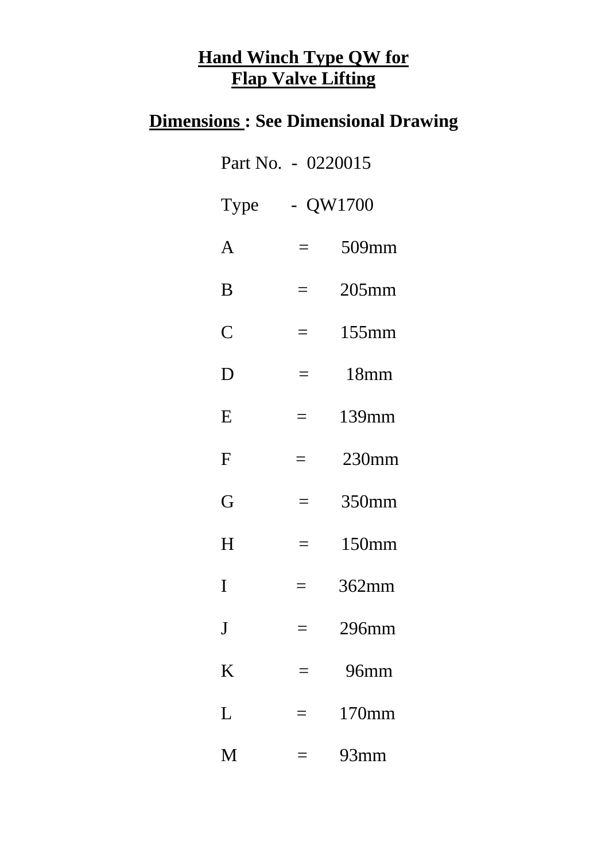## **Hand Winch Type QW for Flap Valve Lifting**

## **Dimensions : See Dimensional Drawing**

| Part No. - 0220015 |            |          |
|--------------------|------------|----------|
| Type               | $- QW1700$ |          |
| A                  | $\equiv$   | 509mm    |
| B                  | $=$        | $205$ mm |
| $\mathsf C$        | $\equiv$   | $155$ mm |
| D                  | $=$        | 18mm     |
| E                  | $=$        | 139mm    |
| F                  |            | 230mm    |
| G                  |            | 350mm    |
| H                  |            | 150mm    |
| I                  |            | $362$ mm |
| $\bf J$            |            | 296mm    |
| K                  |            | 96mm     |
| L                  |            | 170mm    |
| M                  |            | 93mm     |